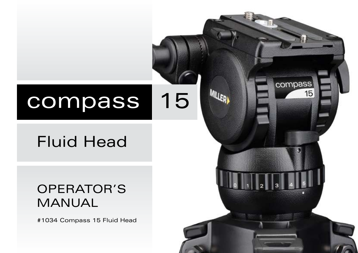# compass 15

# Fluid Head

# OPERATOR'S MANUAL

#1034 Compass 15 Fluid Head

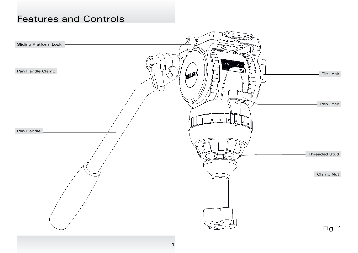#### Features and Controls

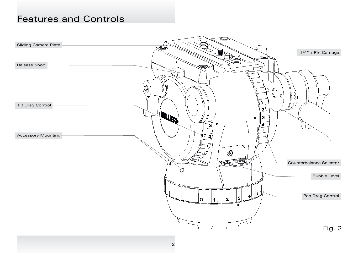#### Features and Controls

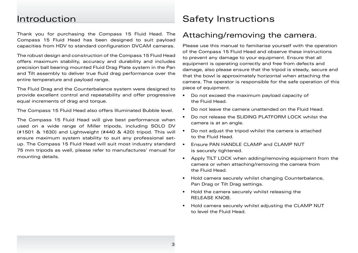Thank you for purchasing the Compass 15 Fluid Head. The Compass 15 Fluid Head has been designed to suit payload capacities from HDV to standard configuration DVCAM cameras.

The robust design and construction of the Compass 15 Fluid Head offers maximum stability, accuracy and durability and includes precision ball bearing mounted Fluid Drag Plate system in the Pan and Tilt assembly to deliver true fluid drag performance over the entire temperature and payload range.

The Fluid Drag and the Counterbalance system were designed to provide excellent control and repeatability and offer progressive equal increments of drag and torque.

The Compass 15 Fluid Head also offers Illuminated Bubble level.

The Compass 15 Fluid Head will give best performance when used on a wide range of Miller tripods, including SOLO DV (#1501 & 1630) and Lightweight (#440 & 420) tripod. This will ensure maximum system stability to suit any professional setup. The Compass 15 Fluid Head will suit most industry standard 75 mm tripods as well, please refer to manufactures' manual for mounting details.

#### Introduction **Safety Instructions**

#### Attaching/removing the camera.

Please use this manual to familiarise yourself with the operation of the Compass 15 Fluid Head and observe these instructions to prevent any damage to your equipment. Ensure that all equipment is operating correctly and free from defects and damage, also please ensure that the tripod is steady, secure and that the bowl is approximately horizontal when attaching the camera. The operator is responsible for the safe operation of this piece of equipment.

- Do not exceed the maximum payload capacity of the Fluid Head.
- Do not leave the camera unattended on the Fluid Head.
- Do not release the SLIDING PLATFORM LOCK whilst the camera is at an angle.
- Do not adjust the tripod whilst the camera is attached to the Fluid Head.
- Fnsure PAN HANDLE CLAMP and CLAMP NUT is securely tightened.
- Apply TILT LOCK when adding/removing equipment from the camera or when attaching/removing the camera from the Fluid Head.
- Hold camera securely whilst changing Counterbalance, Pan Drag or Tilt Drag settings.
- Hold the camera securely whilst releasing the RELEASE KNOB.
- Hold camera securely whilst adjusting the CLAMP NUT to level the Fluid Head.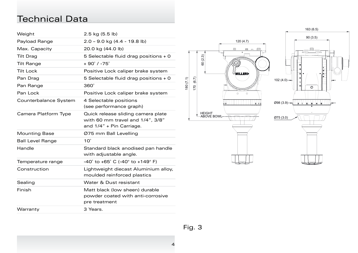### Technical Data

| Weight                  | $2.5$ kg $(5.5$ lb)                                                                                |
|-------------------------|----------------------------------------------------------------------------------------------------|
| Payload Range           | $2.0 - 9.0$ kg $(4.4 - 19.8$ lb)                                                                   |
| Max. Capacity           | 20.0 kg (44.0 lb)                                                                                  |
| <b>Tilt Drag</b>        | 5 Selectable fluid drag positions + 0                                                              |
| <b>Tilt Range</b>       | $+90^\circ$ / -75 $^\circ$                                                                         |
| <b>Tilt Lock</b>        | Positive Lock caliper brake system                                                                 |
| Pan Drag                | 5 Selectable fluid drag positions + 0                                                              |
| Pan Range               | 360 <sup>°</sup>                                                                                   |
| Pan Lock                | Positive Lock caliper brake system                                                                 |
| Counterbalance System   | 4 Selectable positions<br>(see performance graph)                                                  |
| Camera Platform Type    | Quick release sliding camera plate<br>with 60 mm travel and 1/4", 3/8"<br>and 1/4" + Pin Carriage. |
| <b>Mounting Base</b>    | Ø75 mm Ball Levelling                                                                              |
| <b>Ball Level Range</b> | $10^{\circ}$                                                                                       |
| Handle                  | Standard black anodised pan handle<br>with adjustable angle.                                       |
| Temperature range       | -40° to +65° C (-40° to +149° F)                                                                   |
| Construction            | Lightweight diecast Aluminium alloy,<br>moulded reinforced plastics                                |
| Sealing                 | Water & Dust resistant                                                                             |
| Finish                  | Matt black (low sheen) durable<br>powder coated with anti-corrosive<br>pre treatment               |
| Warranty                | 3 Years.                                                                                           |





4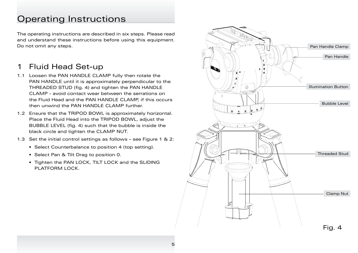The operating instructions are described in six steps. Please read and understand these instructions before using this equipment. Do not omit any steps.

#### 1 Fluid Head Set-up

- 1.1 Loosen the PAN HANDLE CLAMP fully then rotate the PAN HANDLE until it is approximately perpendicular to the THREADED STUD (fig. 4) and tighten the PAN HANDLE CLAMP - avoid contact wear between the serrations on the Fluid Head and the PAN HANDLE CLAMP, if this occurs then unwind the PAN HANDLE CLAMP further.
- 1.2 Ensure that the TRIPOD BOWL is approximately horizontal. Place the Fluid Head into the TRIPOD BOWL, adjust the BUBBLE LEVEL (fig. 4) such that the bubble is inside the black circle and tighten the CLAMP NUT.
- 1.3 Set the initial control settings as follows see Figure 1 & 2:
	- Select Counterbalance to position 4 (top setting).
	- Select Pan & Tilt Drag to position 0.
	- Tighten the PAN LOCK, TILT LOCK and the SLIDING PLATFORM LOCK.

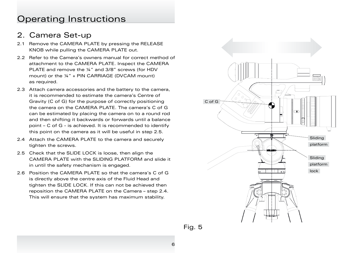#### 2. Camera Set-up

- 2.1 Remove the CAMERA PLATE by pressing the RELEASE KNOB while pulling the CAMERA PLATE out.
- 2.2 Refer to the Camera's owners manual for correct method of attachment to the CAMERA PLATE. Inspect the CAMERA PLATE and remove the ¼" and 3/8" screws (for HDV mount) or the ¼" + PIN CARRIAGE (DVCAM mount) as required.
- 2.3 Attach camera accessories and the battery to the camera, it is recommended to estimate the camera's Centre of Gravity (C of G) for the purpose of correctly positioning the camera on the CAMERA PLATE. The camera's C of G can be estimated by placing the camera on to a round rod and then shifting it backwards or forwards until a balance point – C of G - is achieved. It is recommended to identify this point on the camera as it will be useful in step 2.5.
- 2.4 Attach the CAMERA PLATE to the camera and securely tighten the screws.
- 2.5 Check that the SLIDE LOCK is loose, then align the CAMERA PLATE with the SLIDING PLATFORM and slide it in until the safety mechanism is engaged.
- 2.6 Position the CAMERA PLATE so that the camera's C of G is directly above the centre axis of the Fluid Head and tighten the SLIDE LOCK. If this can not be achieved then reposition the CAMERA PLATE on the Camera – step 2.4. This will ensure that the system has maximum stability.

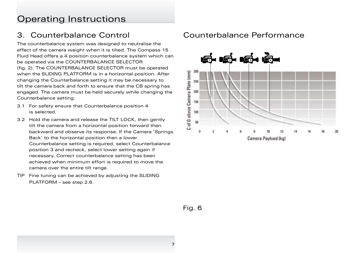#### 3. Counterbalance Control

The counterbalance system was designed to neutralise the effect of the camera weight when it is tilted. The Compass 15 Fluid Head offers a 4 position counterbalance system which can be operated via the COUNTERBALANCE SELECTOR (fig. 2). The COUNTERBALANCE SELECTOR must be operated when the SLIDING PLATFORM is in a horizontal position. After changing the Counterbalance setting it may be necessary to tilt the camera back and forth to ensure that the CB spring has engaged. The camera must be held securely while changing the Counterbalance setting.

- 3.1 For safety ensure that Counterbalance position 4 is selected.
- 3.2 Hold the camera and release the TILT LOCK, then gently tilt the camera from a horizontal position forward then backward and observe its response. If the Camera 'Springs Back' to the horizontal position then a lower Counterbalance setting is required, select Counterbalance position 3 and recheck, select lower setting again if necessary. Correct counterbalance setting has been achieved when minimum effort is required to move the camera over the entire tilt range.
- TIP Fine tuning can be achieved by adjusting the SLIDING PLATFORM – see step 2.6.

#### Counterbalance Performance



Fig. 6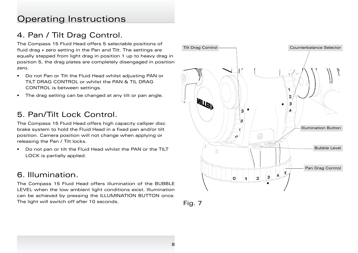#### 4. Pan / Tilt Drag Control.

The Compass 15 Fluid Head offers 5 selectable positions of fluid drag + zero setting in the Pan and Tilt. The settings are equally stepped from light drag in position 1 up to heavy drag in position 5, the drag plates are completely disengaged in position zero.

- Do not Pan or Tilt the Fluid Head whilst adjusting PAN or TILT DRAG CONTROL or whilst the PAN & TIL DRAG CONTROL is between settings.
- The drag setting can be changed at any tilt or pan angle.

#### 5. Pan/Tilt Lock Control.

The Compass 15 Fluid Head offers high capacity calliper disc brake system to hold the Fluid Head in a fixed pan and/or tilt position. Camera position will not change when applying or releasing the Pan / Tilt locks.

• Do not pan or tilt the Fluid Head whilst the PAN or the TILT LOCK is partially applied.

#### 6. Illumination.

The Compass 15 Fluid Head offers illumination of the BUBBLE LEVEL when the low ambient light conditions exist. Illumination can be achieved by pressing the ILLUMINATION BUTTON once. The light will switch off after 10 seconds. Fig. 7



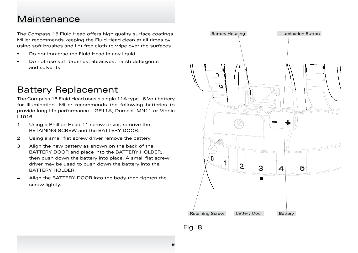#### Maintenance

The Compass 15 Fluid Head offers high quality surface coatings. Miller recommends keeping the Fluid Head clean at all times by using soft brushes and lint free cloth to wipe over the surfaces.

- Do not immerse the Fluid Head in any liquid.
- Do not use stiff brushes, abrasives, harsh detergents and solvents.

## Battery Replacement

The Compass 15 Fluid Head uses a single 11A type - 6 Volt battery for Illumination. Miller recommends the following batteries to provide long life performance – GP11A, Duracell MN11 or Vinnic L1016.

- 1 Using a Phillips Head #1 screw driver, remove the RETAINING SCREW and the BATTERY DOOR.
- 2 Using a small flat screw driver remove the battery.
- 3 Align the new battery as shown on the back of the BATTERY DOOR and place into the BATTERY HOLDER, then push down the battery into place. A small flat screw driver may be used to push down the battery into the BATTERY HOLDER.
- 4 Align the BATTERY DOOR into the body then tighten the screw lightly.



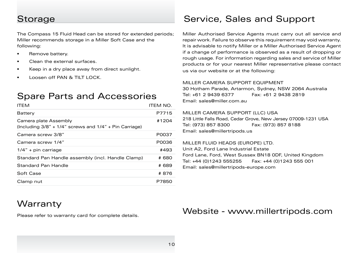The Compass 15 Fluid Head can be stored for extended periods; Miller recommends storage in a Miller Soft Case and the following:

- Remove battery.
- Clean the external surfaces.
- Keep in a dry place away from direct sunlight.
- Loosen off PAN & TILT LOCK

### Spare Parts and Accessories

| <b>ITEM</b>                                                                            | ITEM NO. |
|----------------------------------------------------------------------------------------|----------|
| Battery                                                                                | P7715    |
| Camera plate Assembly<br>(Including $3/8'' + 1/4''$ screws and $1/4'' +$ Pin Carriage) | #1204    |
| Camera screw 3/8"                                                                      | P0037    |
| Camera screw 1/4"                                                                      | P0036    |
| $1/4"$ + pin carriage                                                                  | #493     |
| Standard Pan Handle assembly (incl. Handle Clamp)                                      | # 680    |
| Standard Pan Handle                                                                    | # 689    |
| Soft Case                                                                              | #876     |
| Clamp nut                                                                              | P7850    |

## Storage Storage Service, Sales and Support

Miller Authorised Service Agents must carry out all service and repair work. Failure to observe this requirement may void warranty. It is advisable to notify Miller or a Miller Authorised Service Agent if a change of performance is observed as a result of dropping or rough usage. For information regarding sales and service of Miller products or for your nearest Miller representative please contact us via our website or at the following:

#### MILLER CAMERA SUPPORT FOUIPMENT

30 Hotham Parade, Artarmon, Sydney, NSW 2064 Australia Tel: +61 2 9439 6377 Fax: +61 2 9438 2819 Email: sales@miller.com.au

#### MILLER CAMERA SUPPORT (LLC) USA

218 Little Falls Road, Cedar Grove, New Jersey 07009-1231 USA Tel: (973) 857 8300 Fax: (973) 857 8188 Email: sales@millertripods.us

#### MILLER FLUID HEADS (EUROPE) LTD.

Unit A2, Ford Lane Industrial Estate Ford Lane, Ford, West Sussex BN18 0DF, United Kingdom Tel: +44 (0)1243 555255 Fax: +44 (0)1243 555 001 Email: sales@millertripods-europe.com

#### **Warranty**

Please refer to warranty card for complete details.

#### Website - www.millertripods.com